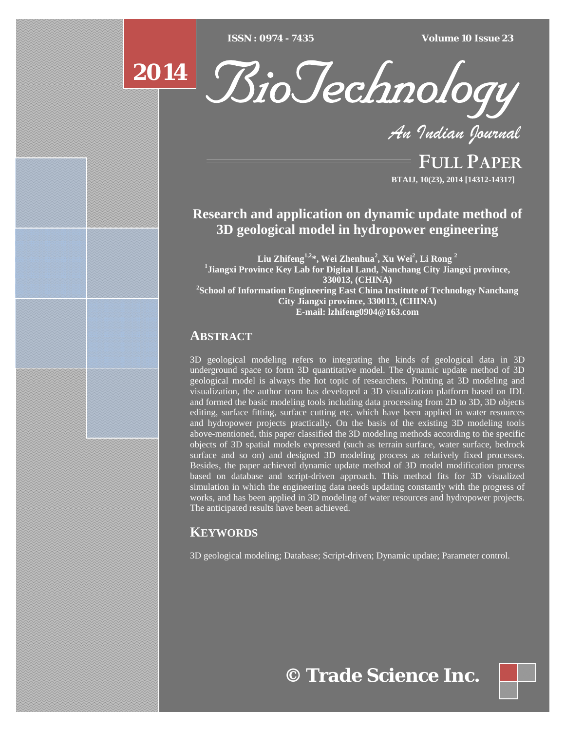$ISSN : 0974 - 7435$ 

*ISSN : 0974 - 7435 Volume 10 Issue 23*





*An Indian Journal*

FULL PAPER **BTAIJ, 10(23), 2014 [14312-14317]**

# **Research and application on dynamic update method of 3D geological model in hydropower engineering**

 $\mathbf{L}$ iu Zhifeng $^{1,2}$ \*, Wei Zhenhua $^{2}$ , Xu Wei $^{2}$ , Li Rong  $^{2}$ **1 Jiangxi Province Key Lab for Digital Land, Nanchang City Jiangxi province, 330013, (CHINA) 2 School of Information Engineering East China Institute of Technology Nanchang City Jiangxi province, 330013, (CHINA) E-mail: lzhifeng0904@163.com** 

## **ABSTRACT**

3D geological modeling refers to integrating the kinds of geological data in 3D underground space to form 3D quantitative model. The dynamic update method of 3D geological model is always the hot topic of researchers. Pointing at 3D modeling and visualization, the author team has developed a 3D visualization platform based on IDL and formed the basic modeling tools including data processing from 2D to 3D, 3D objects editing, surface fitting, surface cutting etc. which have been applied in water resources and hydropower projects practically. On the basis of the existing 3D modeling tools above-mentioned, this paper classified the 3D modeling methods according to the specific objects of 3D spatial models expressed (such as terrain surface, water surface, bedrock surface and so on) and designed 3D modeling process as relatively fixed processes. Besides, the paper achieved dynamic update method of 3D model modification process based on database and script-driven approach. This method fits for 3D visualized simulation in which the engineering data needs updating constantly with the progress of works, and has been applied in 3D modeling of water resources and hydropower projects. The anticipated results have been achieved.

## **KEYWORDS**

3D geological modeling; Database; Script-driven; Dynamic update; Parameter control.

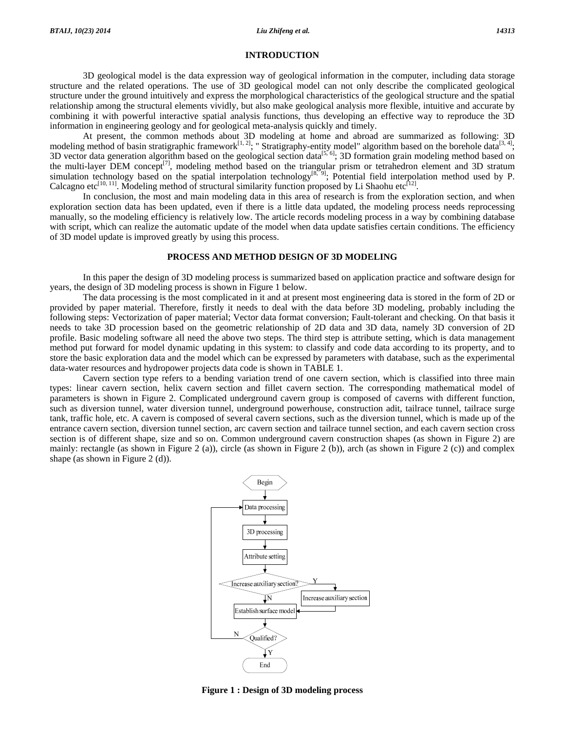#### **INTRODUCTION**

 3D geological model is the data expression way of geological information in the computer, including data storage structure and the related operations. The use of 3D geological model can not only describe the complicated geological structure under the ground intuitively and express the morphological characteristics of the geological structure and the spatial relationship among the structural elements vividly, but also make geological analysis more flexible, intuitive and accurate by combining it with powerful interactive spatial analysis functions, thus developing an effective way to reproduce the 3D information in engineering geology and for geological meta-analysis quickly and timely.

 At present, the common methods about 3D modeling at home and abroad are summarized as following: 3D modeling method of basin stratigraphic framework<sup>[1, 2]</sup>; " Stratigraphy-entity model" algorithm based on the borehole data<sup>[3, 4]</sup>; 3D vector data generation algorithm based on the geological section data<sup>[5, 6]</sup>; 3D formation grain modeling method based on the multi-layer DEM concept<sup>[7]</sup>, modeling method based on the triangular prism or tetrahedron element and 3D stratum simulation technology based on the spatial interpolation technology<sup>[8, 9]</sup>; Potential field interpolation method used by P. Calcagno etc<sup>[10, 11]</sup>. Modeling method of structural similarity function proposed by Li Shaohu etc<sup>[12]</sup>.

 In conclusion, the most and main modeling data in this area of research is from the exploration section, and when exploration section data has been updated, even if there is a little data updated, the modeling process needs reprocessing manually, so the modeling efficiency is relatively low. The article records modeling process in a way by combining database with script, which can realize the automatic update of the model when data update satisfies certain conditions. The efficiency of 3D model update is improved greatly by using this process.

#### **PROCESS AND METHOD DESIGN OF 3D MODELING**

 In this paper the design of 3D modeling process is summarized based on application practice and software design for years, the design of 3D modeling process is shown in Figure 1 below.

 The data processing is the most complicated in it and at present most engineering data is stored in the form of 2D or provided by paper material. Therefore, firstly it needs to deal with the data before 3D modeling, probably including the following steps: Vectorization of paper material; Vector data format conversion; Fault-tolerant and checking. On that basis it needs to take 3D procession based on the geometric relationship of 2D data and 3D data, namely 3D conversion of 2D profile. Basic modeling software all need the above two steps. The third step is attribute setting, which is data management method put forward for model dynamic updating in this system: to classify and code data according to its property, and to store the basic exploration data and the model which can be expressed by parameters with database, such as the experimental data-water resources and hydropower projects data code is shown in TABLE 1.

 Cavern section type refers to a bending variation trend of one cavern section, which is classified into three main types: linear cavern section, helix cavern section and fillet cavern section. The corresponding mathematical model of parameters is shown in Figure 2. Complicated underground cavern group is composed of caverns with different function, such as diversion tunnel, water diversion tunnel, underground powerhouse, construction adit, tailrace tunnel, tailrace surge tank, traffic hole, etc. A cavern is composed of several cavern sections, such as the diversion tunnel, which is made up of the entrance cavern section, diversion tunnel section, arc cavern section and tailrace tunnel section, and each cavern section cross section is of different shape, size and so on. Common underground cavern construction shapes (as shown in Figure 2) are mainly: rectangle (as shown in Figure 2 (a)), circle (as shown in Figure 2 (b)), arch (as shown in Figure 2 (c)) and complex shape (as shown in Figure 2 (d)).



**Figure 1 : Design of 3D modeling process**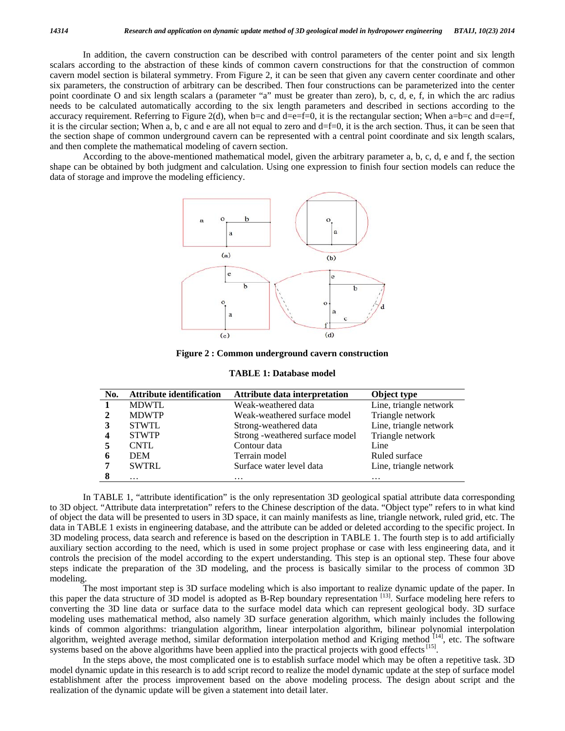In addition, the cavern construction can be described with control parameters of the center point and six length scalars according to the abstraction of these kinds of common cavern constructions for that the construction of common cavern model section is bilateral symmetry. From Figure 2, it can be seen that given any cavern center coordinate and other six parameters, the construction of arbitrary can be described. Then four constructions can be parameterized into the center point coordinate O and six length scalars a (parameter "a" must be greater than zero), b, c, d, e, f, in which the arc radius needs to be calculated automatically according to the six length parameters and described in sections according to the accuracy requirement. Referring to Figure 2(d), when b=c and d=e=f=0, it is the rectangular section; When a=b=c and d=e=f, it is the circular section; When a, b, c and e are all not equal to zero and d=f=0, it is the arch section. Thus, it can be seen that the section shape of common underground cavern can be represented with a central point coordinate and six length scalars, and then complete the mathematical modeling of cavern section.

 According to the above-mentioned mathematical model, given the arbitrary parameter a, b, c, d, e and f, the section shape can be obtained by both judgment and calculation. Using one expression to finish four section models can reduce the data of storage and improve the modeling efficiency.



**Figure 2 : Common underground cavern construction** 

| No. | <b>Attribute identification</b> | Attribute data interpretation   | Object type            |
|-----|---------------------------------|---------------------------------|------------------------|
|     | <b>MDWTL</b>                    | Weak-weathered data             | Line, triangle network |
|     | <b>MDWTP</b>                    | Weak-weathered surface model    | Triangle network       |
|     | <b>STWTL</b>                    | Strong-weathered data           | Line, triangle network |
|     | <b>STWTP</b>                    | Strong -weathered surface model | Triangle network       |
|     | CNTL                            | Contour data                    | Line                   |
| 6   | <b>DEM</b>                      | Terrain model                   | Ruled surface          |
|     | <b>SWTRL</b>                    | Surface water level data        | Line, triangle network |
|     | $\cdots$                        | $\cdots$                        | $\cdot\cdot\cdot$      |

 In TABLE 1, "attribute identification" is the only representation 3D geological spatial attribute data corresponding to 3D object. "Attribute data interpretation" refers to the Chinese description of the data. "Object type" refers to in what kind of object the data will be presented to users in 3D space, it can mainly manifests as line, triangle network, ruled grid, etc. The data in TABLE 1 exists in engineering database, and the attribute can be added or deleted according to the specific project. In 3D modeling process, data search and reference is based on the description in TABLE 1. The fourth step is to add artificially auxiliary section according to the need, which is used in some project prophase or case with less engineering data, and it controls the precision of the model according to the expert understanding. This step is an optional step. These four above steps indicate the preparation of the 3D modeling, and the process is basically similar to the process of common 3D modeling.

 The most important step is 3D surface modeling which is also important to realize dynamic update of the paper. In this paper the data structure of 3D model is adopted as B-Rep boundary representation [13]. Surface modeling here refers to converting the 3D line data or surface data to the surface model data which can represent geological body. 3D surface modeling uses mathematical method, also namely 3D surface generation algorithm, which mainly includes the following kinds of common algorithms: triangulation algorithm, linear interpolation algorithm, bilinear polynomial interpolation algorithm, weighted average method, similar deformation interpolation method and Kriging method <sup>[14]</sup>, etc. The software systems based on the above algorithms have been applied into the practical projects with good effects [15].

 In the steps above, the most complicated one is to establish surface model which may be often a repetitive task. 3D model dynamic update in this research is to add script record to realize the model dynamic update at the step of surface model establishment after the process improvement based on the above modeling process. The design about script and the realization of the dynamic update will be given a statement into detail later.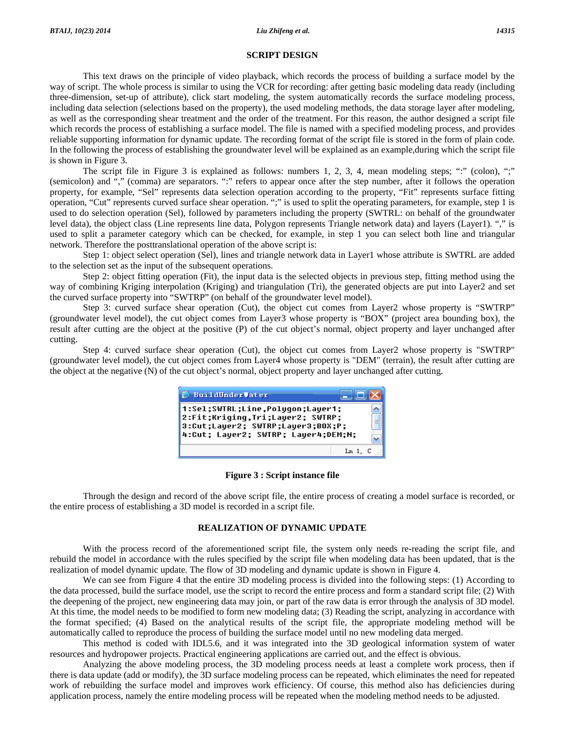### **SCRIPT DESIGN**

 This text draws on the principle of video playback, which records the process of building a surface model by the way of script. The whole process is similar to using the VCR for recording: after getting basic modeling data ready (including three-dimension, set-up of attribute), click start modeling, the system automatically records the surface modeling process, including data selection (selections based on the property), the used modeling methods, the data storage layer after modeling, as well as the corresponding shear treatment and the order of the treatment. For this reason, the author designed a script file which records the process of establishing a surface model. The file is named with a specified modeling process, and provides reliable supporting information for dynamic update. The recording format of the script file is stored in the form of plain code. In the following the process of establishing the groundwater level will be explained as an example,during which the script file is shown in Figure 3.

The script file in Figure 3 is explained as follows: numbers 1, 2, 3, 4, mean modeling steps; ":" (colon), ";" (semicolon) and "," (comma) are separators. ":" refers to appear once after the step number, after it follows the operation property, for example, "Sel" represents data selection operation according to the property, "Fit" represents surface fitting operation, "Cut" represents curved surface shear operation. ";" is used to split the operating parameters, for example, step 1 is used to do selection operation (Sel), followed by parameters including the property (SWTRL: on behalf of the groundwater level data), the object class (Line represents line data, Polygon represents Triangle network data) and layers (Layer1). "," is used to split a parameter category which can be checked, for example, in step 1 you can select both line and triangular network. Therefore the posttranslational operation of the above script is:

 Step 1: object select operation (Sel), lines and triangle network data in Layer1 whose attribute is SWTRL are added to the selection set as the input of the subsequent operations.

 Step 2: object fitting operation (Fit), the input data is the selected objects in previous step, fitting method using the way of combining Kriging interpolation (Kriging) and triangulation (Tri), the generated objects are put into Layer2 and set the curved surface property into "SWTRP" (on behalf of the groundwater level model).

 Step 3: curved surface shear operation (Cut), the object cut comes from Layer2 whose property is "SWTRP" (groundwater level model), the cut object comes from Layer3 whose property is "BOX" (project area bounding box), the result after cutting are the object at the positive (P) of the cut object's normal, object property and layer unchanged after cutting.

 Step 4: curved surface shear operation (Cut), the object cut comes from Layer2 whose property is "SWTRP" (groundwater level model), the cut object comes from Layer4 whose property is "DEM" (terrain), the result after cutting are the object at the negative (N) of the cut object's normal, object property and layer unchanged after cutting.

| <b>BuildUnderVater</b>                                                                                                                           |  |
|--------------------------------------------------------------------------------------------------------------------------------------------------|--|
| 1:Sel;SWTRL;Line,Polygon;Layer1;<br>2:Fit;Kriging,Tri;Layer2; SWTRP;<br>3:Cut;Layer2; SWTRP;Layer3;BOX;P;<br>4:Cut; Layer2; SWTRP; Layer4;DEM;N; |  |
| Ln 1.                                                                                                                                            |  |

#### **Figure 3 : Script instance file**

 Through the design and record of the above script file, the entire process of creating a model surface is recorded, or the entire process of establishing a 3D model is recorded in a script file.

## **REALIZATION OF DYNAMIC UPDATE**

 With the process record of the aforementioned script file, the system only needs re-reading the script file, and rebuild the model in accordance with the rules specified by the script file when modeling data has been updated, that is the realization of model dynamic update. The flow of 3D modeling and dynamic update is shown in Figure 4.

 We can see from Figure 4 that the entire 3D modeling process is divided into the following steps: (1) According to the data processed, build the surface model, use the script to record the entire process and form a standard script file; (2) With the deepening of the project, new engineering data may join, or part of the raw data is error through the analysis of 3D model. At this time, the model needs to be modified to form new modeling data; (3) Reading the script, analyzing in accordance with the format specified; (4) Based on the analytical results of the script file, the appropriate modeling method will be automatically called to reproduce the process of building the surface model until no new modeling data merged.

 This method is coded with IDL5.6, and it was integrated into the 3D geological information system of water resources and hydropower projects. Practical engineering applications are carried out, and the effect is obvious.

 Analyzing the above modeling process, the 3D modeling process needs at least a complete work process, then if there is data update (add or modify), the 3D surface modeling process can be repeated, which eliminates the need for repeated work of rebuilding the surface model and improves work efficiency. Of course, this method also has deficiencies during application process, namely the entire modeling process will be repeated when the modeling method needs to be adjusted.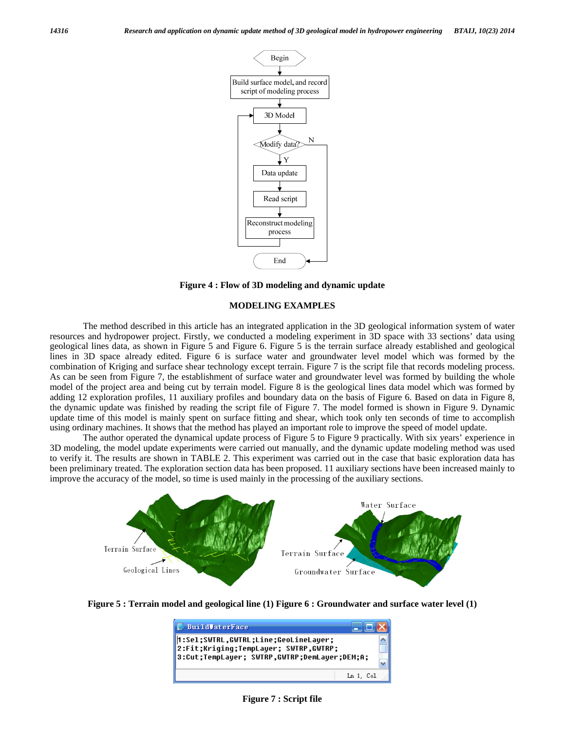

**Figure 4 : Flow of 3D modeling and dynamic update** 

#### **MODELING EXAMPLES**

 The method described in this article has an integrated application in the 3D geological information system of water resources and hydropower project. Firstly, we conducted a modeling experiment in 3D space with 33 sections' data using geological lines data, as shown in Figure 5 and Figure 6. Figure 5 is the terrain surface already established and geological lines in 3D space already edited. Figure 6 is surface water and groundwater level model which was formed by the combination of Kriging and surface shear technology except terrain. Figure 7 is the script file that records modeling process. As can be seen from Figure 7, the establishment of surface water and groundwater level was formed by building the whole model of the project area and being cut by terrain model. Figure 8 is the geological lines data model which was formed by adding 12 exploration profiles, 11 auxiliary profiles and boundary data on the basis of Figure 6. Based on data in Figure 8, the dynamic update was finished by reading the script file of Figure 7. The model formed is shown in Figure 9. Dynamic update time of this model is mainly spent on surface fitting and shear, which took only ten seconds of time to accomplish using ordinary machines. It shows that the method has played an important role to improve the speed of model update.

 The author operated the dynamical update process of Figure 5 to Figure 9 practically. With six years' experience in 3D modeling, the model update experiments were carried out manually, and the dynamic update modeling method was used to verify it. The results are shown in TABLE 2. This experiment was carried out in the case that basic exploration data has been preliminary treated. The exploration section data has been proposed. 11 auxiliary sections have been increased mainly to improve the accuracy of the model, so time is used mainly in the processing of the auxiliary sections.



**Figure 5 : Terrain model and geological line (1) Figure 6 : Groundwater and surface water level (1)**